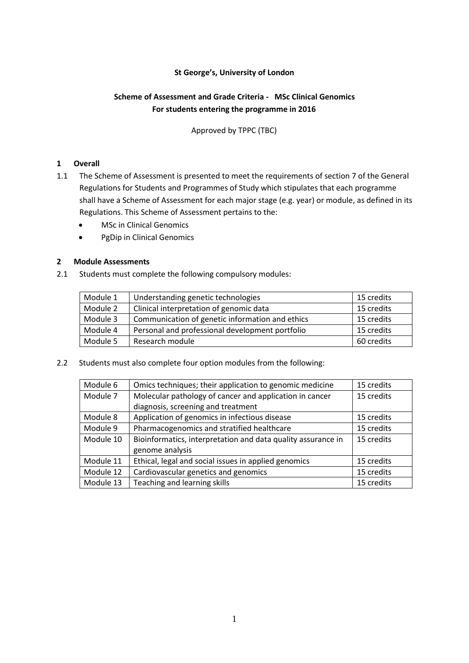## **St George's, University of London**

# **Scheme of Assessment and Grade Criteria - MSc Clinical Genomics For students entering the programme in 2016**

Approved by TPPC (TBC)

## **1 Overall**

- 1.1 The Scheme of Assessment is presented to meet the requirements of section 7 of the General Regulations for Students and Programmes of Study which stipulates that each programme shall have a Scheme of Assessment for each major stage (e.g. year) or module, as defined in its Regulations. This Scheme of Assessment pertains to the:
	- **MSc in Clinical Genomics**
	- PgDip in Clinical Genomics

## **2 Module Assessments**

2.1 Students must complete the following compulsory modules:

| Module 1 | Understanding genetic technologies              | 15 credits |
|----------|-------------------------------------------------|------------|
| Module 2 | Clinical interpretation of genomic data         | 15 credits |
| Module 3 | Communication of genetic information and ethics | 15 credits |
| Module 4 | Personal and professional development portfolio | 15 credits |
| Module 5 | Research module                                 | 60 credits |

2.2 Students must also complete four option modules from the following:

| Module 6  | Omics techniques; their application to genomic medicine      | 15 credits |
|-----------|--------------------------------------------------------------|------------|
| Module 7  | Molecular pathology of cancer and application in cancer      | 15 credits |
|           | diagnosis, screening and treatment                           |            |
| Module 8  | Application of genomics in infectious disease                | 15 credits |
| Module 9  | Pharmacogenomics and stratified healthcare                   | 15 credits |
| Module 10 | Bioinformatics, interpretation and data quality assurance in | 15 credits |
|           | genome analysis                                              |            |
| Module 11 | Ethical, legal and social issues in applied genomics         | 15 credits |
| Module 12 | Cardiovascular genetics and genomics                         | 15 credits |
| Module 13 | Teaching and learning skills                                 | 15 credits |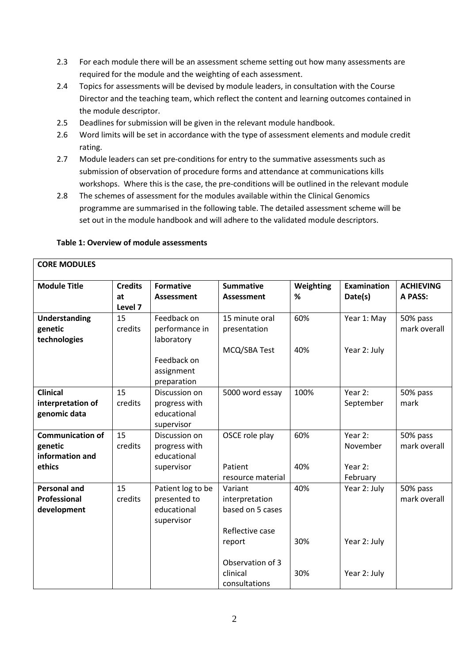- 2.3 For each module there will be an assessment scheme setting out how many assessments are required for the module and the weighting of each assessment.
- 2.4 Topics for assessments will be devised by module leaders, in consultation with the Course Director and the teaching team, which reflect the content and learning outcomes contained in the module descriptor.
- 2.5 Deadlines for submission will be given in the relevant module handbook.
- 2.6 Word limits will be set in accordance with the type of assessment elements and module credit rating.
- 2.7 Module leaders can set pre-conditions for entry to the summative assessments such as submission of observation of procedure forms and attendance at communications kills workshops. Where this is the case, the pre-conditions will be outlined in the relevant module
- 2.8 The schemes of assessment for the modules available within the Clinical Genomics programme are summarised in the following table. The detailed assessment scheme will be set out in the module handbook and will adhere to the validated module descriptors.

| <b>CORE MODULES</b>     |                |                             |                                    |           |                    |                  |
|-------------------------|----------------|-----------------------------|------------------------------------|-----------|--------------------|------------------|
| <b>Module Title</b>     | <b>Credits</b> | <b>Formative</b>            | <b>Summative</b>                   | Weighting | <b>Examination</b> | <b>ACHIEVING</b> |
|                         | at             | Assessment                  | <b>Assessment</b>                  | %         | Date(s)            | A PASS:          |
|                         | Level 7        |                             |                                    |           |                    |                  |
| <b>Understanding</b>    | 15             | Feedback on                 | 15 minute oral                     | 60%       | Year 1: May        | 50% pass         |
| genetic                 | credits        | performance in              | presentation                       |           |                    | mark overall     |
| technologies            |                | laboratory                  |                                    |           |                    |                  |
|                         |                |                             | MCQ/SBA Test                       | 40%       | Year 2: July       |                  |
|                         |                | Feedback on                 |                                    |           |                    |                  |
|                         |                | assignment                  |                                    |           |                    |                  |
|                         |                | preparation                 |                                    |           |                    |                  |
| <b>Clinical</b>         | 15             | Discussion on               | 5000 word essay                    | 100%      | Year 2:            | 50% pass         |
| interpretation of       | credits        | progress with               |                                    |           | September          | mark             |
| genomic data            |                | educational                 |                                    |           |                    |                  |
|                         |                | supervisor                  |                                    |           |                    |                  |
| <b>Communication of</b> | 15             | Discussion on               | OSCE role play                     | 60%       | Year 2:            | 50% pass         |
| genetic                 | credits        | progress with               |                                    |           | November           | mark overall     |
| information and         |                | educational                 |                                    |           |                    |                  |
| ethics                  |                | supervisor                  | Patient                            | 40%       | Year 2:            |                  |
|                         |                |                             | resource material                  |           | February           |                  |
| <b>Personal and</b>     | 15             | Patient log to be           | Variant                            | 40%       | Year 2: July       | 50% pass         |
| <b>Professional</b>     | credits        | presented to<br>educational | interpretation<br>based on 5 cases |           |                    | mark overall     |
| development             |                |                             |                                    |           |                    |                  |
|                         |                | supervisor                  | Reflective case                    |           |                    |                  |
|                         |                |                             |                                    | 30%       | Year 2: July       |                  |
|                         |                |                             | report                             |           |                    |                  |
|                         |                |                             | Observation of 3                   |           |                    |                  |
|                         |                |                             | clinical                           | 30%       | Year 2: July       |                  |
|                         |                |                             | consultations                      |           |                    |                  |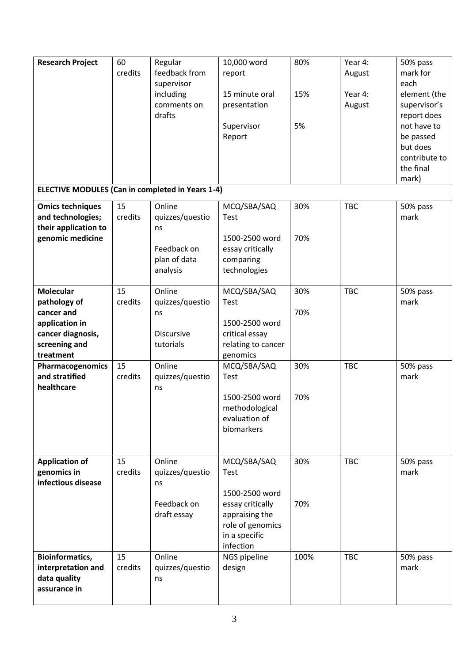| <b>Research Project</b>                                                                                             | 60<br>credits | Regular<br>feedback from<br>supervisor<br>including<br>comments on<br>drafts | 10,000 word<br>report<br>15 minute oral<br>presentation<br>Supervisor<br>Report                                               | 80%<br>15%<br>5% | Year 4:<br>August<br>Year 4:<br>August | 50% pass<br>mark for<br>each<br>element (the<br>supervisor's<br>report does<br>not have to<br>be passed<br>but does<br>contribute to<br>the final<br>mark) |
|---------------------------------------------------------------------------------------------------------------------|---------------|------------------------------------------------------------------------------|-------------------------------------------------------------------------------------------------------------------------------|------------------|----------------------------------------|------------------------------------------------------------------------------------------------------------------------------------------------------------|
| <b>ELECTIVE MODULES (Can in completed in Years 1-4)</b>                                                             |               |                                                                              |                                                                                                                               |                  |                                        |                                                                                                                                                            |
| <b>Omics techniques</b><br>and technologies;<br>their application to<br>genomic medicine                            | 15<br>credits | Online<br>quizzes/questio<br>ns<br>Feedback on<br>plan of data<br>analysis   | MCQ/SBA/SAQ<br>Test<br>1500-2500 word<br>essay critically<br>comparing<br>technologies                                        | 30%<br>70%       | <b>TBC</b>                             | 50% pass<br>mark                                                                                                                                           |
| <b>Molecular</b><br>pathology of<br>cancer and<br>application in<br>cancer diagnosis,<br>screening and<br>treatment | 15<br>credits | Online<br>quizzes/questio<br>ns<br><b>Discursive</b><br>tutorials            | MCQ/SBA/SAQ<br>Test<br>1500-2500 word<br>critical essay<br>relating to cancer<br>genomics                                     | 30%<br>70%       | <b>TBC</b>                             | 50% pass<br>mark                                                                                                                                           |
| Pharmacogenomics<br>and stratified<br>healthcare                                                                    | 15<br>credits | Online<br>quizzes/questio<br>ns                                              | MCQ/SBA/SAQ<br>Test<br>1500-2500 word<br>methodological<br>evaluation of<br>biomarkers                                        | 30%<br>70%       | <b>TBC</b>                             | 50% pass<br>mark                                                                                                                                           |
| <b>Application of</b><br>genomics in<br>infectious disease                                                          | 15<br>credits | Online<br>quizzes/questio<br>ns<br>Feedback on<br>draft essay                | MCQ/SBA/SAQ<br>Test<br>1500-2500 word<br>essay critically<br>appraising the<br>role of genomics<br>in a specific<br>infection | 30%<br>70%       | <b>TBC</b>                             | 50% pass<br>mark                                                                                                                                           |
| <b>Bioinformatics,</b><br>interpretation and<br>data quality<br>assurance in                                        | 15<br>credits | Online<br>quizzes/questio<br>ns                                              | NGS pipeline<br>design                                                                                                        | 100%             | <b>TBC</b>                             | 50% pass<br>mark                                                                                                                                           |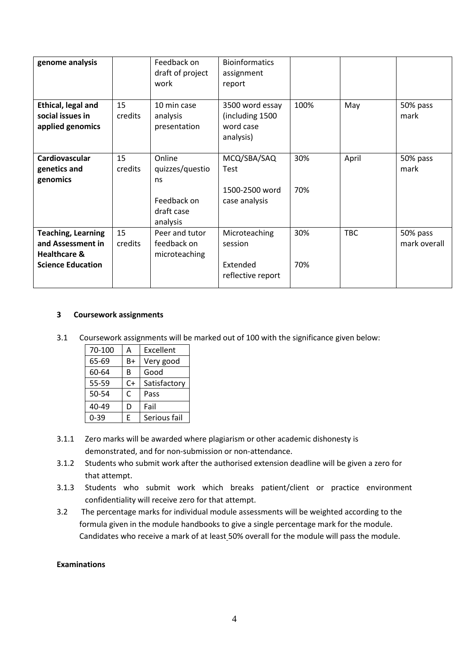| genome analysis                                                                                       |               | Feedback on<br>draft of project<br>work                                  | <b>Bioinformatics</b><br>assignment<br>report                 |            |            |                          |
|-------------------------------------------------------------------------------------------------------|---------------|--------------------------------------------------------------------------|---------------------------------------------------------------|------------|------------|--------------------------|
| Ethical, legal and<br>social issues in<br>applied genomics                                            | 15<br>credits | 10 min case<br>analysis<br>presentation                                  | 3500 word essay<br>(including 1500<br>word case<br>analysis)  | 100%       | May        | 50% pass<br>mark         |
| Cardiovascular<br>genetics and<br>genomics                                                            | 15<br>credits | Online<br>quizzes/questio<br>ns<br>Feedback on<br>draft case<br>analysis | MCQ/SBA/SAQ<br><b>Test</b><br>1500-2500 word<br>case analysis | 30%<br>70% | April      | 50% pass<br>mark         |
| <b>Teaching, Learning</b><br>and Assessment in<br><b>Healthcare &amp;</b><br><b>Science Education</b> | 15<br>credits | Peer and tutor<br>feedback on<br>microteaching                           | Microteaching<br>session<br>Extended<br>reflective report     | 30%<br>70% | <b>TBC</b> | 50% pass<br>mark overall |

#### **3 Coursework assignments**

3.1 Coursework assignments will be marked out of 100 with the significance given below:

| 70-100   | А    | Excellent    |
|----------|------|--------------|
| 65-69    | B+   | Very good    |
| 60-64    | В    | Good         |
| 55-59    | $C+$ | Satisfactory |
| 50-54    | C    | Pass         |
| 40-49    | D    | Fail         |
| $0 - 39$ | F    | Serious fail |

- 3.1.1 Zero marks will be awarded where plagiarism or other academic dishonesty is demonstrated, and for non-submission or non-attendance.
- 3.1.2 Students who submit work after the authorised extension deadline will be given a zero for that attempt.
- 3.1.3 Students who submit work which breaks patient/client or practice environment confidentiality will receive zero for that attempt.
- 3.2 The percentage marks for individual module assessments will be weighted according to the formula given in the module handbooks to give a single percentage mark for the module. Candidates who receive a mark of at least 50% overall for the module will pass the module.

# **Examinations**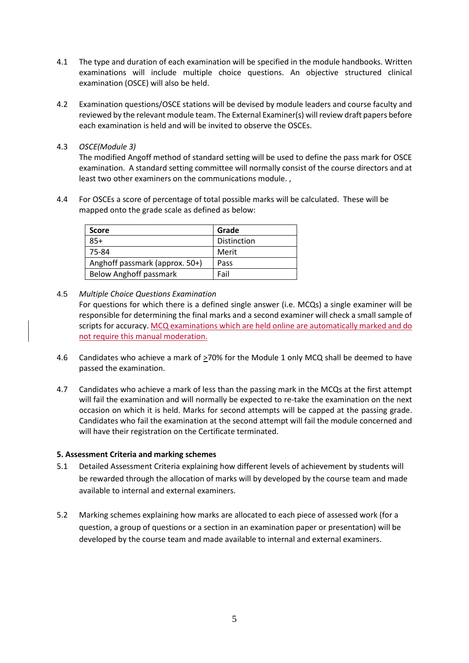- 4.1 The type and duration of each examination will be specified in the module handbooks. Written examinations will include multiple choice questions. An objective structured clinical examination (OSCE) will also be held.
- 4.2 Examination questions/OSCE stations will be devised by module leaders and course faculty and reviewed by the relevant module team. The External Examiner(s) will review draft papers before each examination is held and will be invited to observe the OSCEs.
- 4.3 *OSCE(Module 3)*

The modified Angoff method of standard setting will be used to define the pass mark for OSCE examination. A standard setting committee will normally consist of the course directors and at least two other examiners on the communications module. ,

4.4 For OSCEs a score of percentage of total possible marks will be calculated. These will be mapped onto the grade scale as defined as below:

| <b>Score</b>                   | Grade       |
|--------------------------------|-------------|
| $85+$                          | Distinction |
| 75-84                          | Merit       |
| Anghoff passmark (approx. 50+) | Pass        |
| <b>Below Anghoff passmark</b>  | Fail        |

## 4.5 *Multiple Choice Questions Examination*

For questions for which there is a defined single answer (i.e. MCQs) a single examiner will be responsible for determining the final marks and a second examiner will check a small sample of scripts for accuracy. MCQ examinations which are held online are automatically marked and do not require this manual moderation.

- 4.6 Candidates who achieve a mark of >70% for the Module 1 only MCQ shall be deemed to have passed the examination.
- 4.7 Candidates who achieve a mark of less than the passing mark in the MCQs at the first attempt will fail the examination and will normally be expected to re-take the examination on the next occasion on which it is held. Marks for second attempts will be capped at the passing grade. Candidates who fail the examination at the second attempt will fail the module concerned and will have their registration on the Certificate terminated.

# **5. Assessment Criteria and marking schemes**

- 5.1 Detailed Assessment Criteria explaining how different levels of achievement by students will be rewarded through the allocation of marks will by developed by the course team and made available to internal and external examiners.
- 5.2 Marking schemes explaining how marks are allocated to each piece of assessed work (for a question, a group of questions or a section in an examination paper or presentation) will be developed by the course team and made available to internal and external examiners.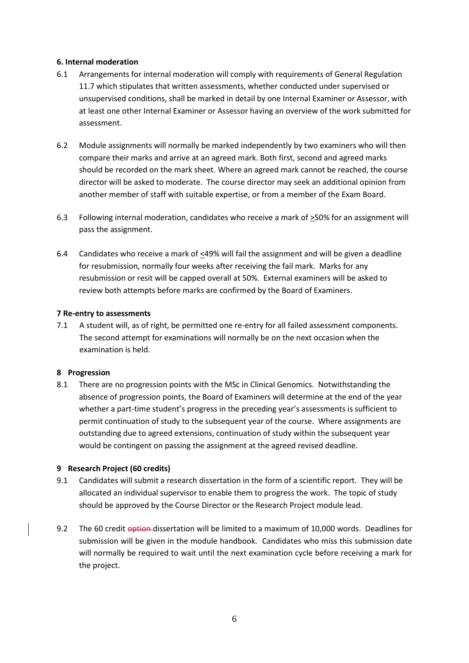## **6. Internal moderation**

- 6.1 Arrangements for internal moderation will comply with requirements of General Regulation 11.7 which stipulates that written assessments, whether conducted under supervised or unsupervised conditions, shall be marked in detail by one Internal Examiner or Assessor, with at least one other Internal Examiner or Assessor having an overview of the work submitted for assessment.
- 6.2 Module assignments will normally be marked independently by two examiners who will then compare their marks and arrive at an agreed mark. Both first, second and agreed marks should be recorded on the mark sheet. Where an agreed mark cannot be reached, the course director will be asked to moderate. The course director may seek an additional opinion from another member of staff with suitable expertise, or from a member of the Exam Board.
- 6.3 Following internal moderation, candidates who receive a mark of >50% for an assignment will pass the assignment.
- 6.4 Candidates who receive a mark of  $\leq$ 49% will fail the assignment and will be given a deadline for resubmission, normally four weeks after receiving the fail mark. Marks for any resubmission or resit will be capped overall at 50%. External examiners will be asked to review both attempts before marks are confirmed by the Board of Examiners.

## **7 Re-entry to assessments**

7.1 A student will, as of right, be permitted one re-entry for all failed assessment components. The second attempt for examinations will normally be on the next occasion when the examination is held.

# **8 Progression**

8.1 There are no progression points with the MSc in Clinical Genomics. Notwithstanding the absence of progression points, the Board of Examiners will determine at the end of the year whether a part-time student's progress in the preceding year's assessments is sufficient to permit continuation of study to the subsequent year of the course. Where assignments are outstanding due to agreed extensions, continuation of study within the subsequent year would be contingent on passing the assignment at the agreed revised deadline.

# **9 Research Project (60 credits)**

- 9.1 Candidates will submit a research dissertation in the form of a scientific report.They will be allocated an individual supervisor to enable them to progress the work. The topic of study should be approved by the Course Director or the Research Project module lead.
- 9.2 The 60 credit option dissertation will be limited to a maximum of 10,000 words. Deadlines for submission will be given in the module handbook. Candidates who miss this submission date will normally be required to wait until the next examination cycle before receiving a mark for the project.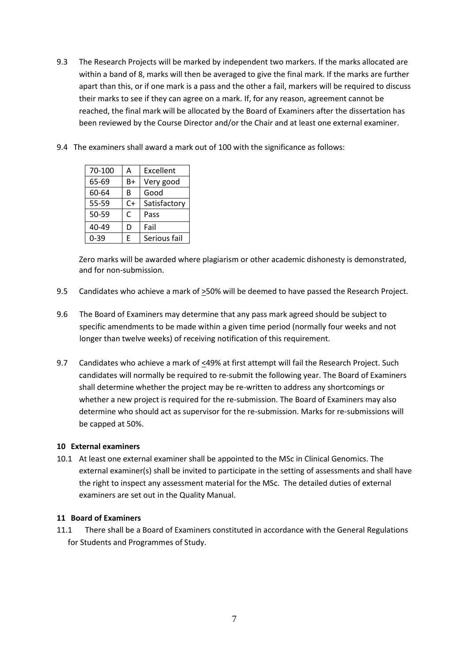- 9.3 The Research Projects will be marked by independent two markers. If the marks allocated are within a band of 8, marks will then be averaged to give the final mark. If the marks are further apart than this, or if one mark is a pass and the other a fail, markers will be required to discuss their marks to see if they can agree on a mark. If, for any reason, agreement cannot be reached, the final mark will be allocated by the Board of Examiners after the dissertation has been reviewed by the Course Director and/or the Chair and at least one external examiner.
- 9.4 The examiners shall award a mark out of 100 with the significance as follows:

| 70-100   | А  | Excellent    |
|----------|----|--------------|
| 65-69    | B+ | Very good    |
| 60-64    | в  | Good         |
| 55-59    | C+ | Satisfactory |
| 50-59    | C  | Pass         |
| 40-49    | D  | Fail         |
| $0 - 39$ | F  | Serious fail |

Zero marks will be awarded where plagiarism or other academic dishonesty is demonstrated, and for non-submission.

- 9.5 Candidates who achieve a mark of >50% will be deemed to have passed the Research Project.
- 9.6 The Board of Examiners may determine that any pass mark agreed should be subject to specific amendments to be made within a given time period (normally four weeks and not longer than twelve weeks) of receiving notification of this requirement.
- 9.7 Candidates who achieve a mark of  $\leq$ 49% at first attempt will fail the Research Project. Such candidates will normally be required to re-submit the following year. The Board of Examiners shall determine whether the project may be re-written to address any shortcomings or whether a new project is required for the re-submission. The Board of Examiners may also determine who should act as supervisor for the re-submission. Marks for re-submissions will be capped at 50%.

#### **10 External examiners**

10.1 At least one external examiner shall be appointed to the MSc in Clinical Genomics. The external examiner(s) shall be invited to participate in the setting of assessments and shall have the right to inspect any assessment material for the MSc. The detailed duties of external examiners are set out in the Quality Manual.

#### **11 Board of Examiners**

11.1 There shall be a Board of Examiners constituted in accordance with the General Regulations for Students and Programmes of Study.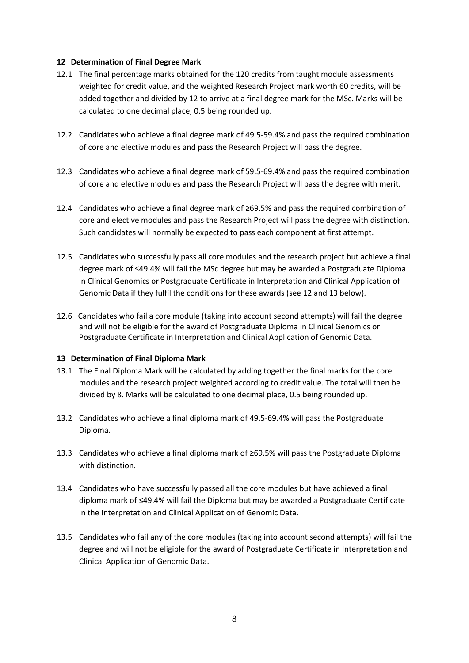#### **12 Determination of Final Degree Mark**

- 12.1 The final percentage marks obtained for the 120 credits from taught module assessments weighted for credit value, and the weighted Research Project mark worth 60 credits, will be added together and divided by 12 to arrive at a final degree mark for the MSc. Marks will be calculated to one decimal place, 0.5 being rounded up.
- 12.2 Candidates who achieve a final degree mark of 49.5-59.4% and pass the required combination of core and elective modules and pass the Research Project will pass the degree.
- 12.3 Candidates who achieve a final degree mark of 59.5-69.4% and pass the required combination of core and elective modules and pass the Research Project will pass the degree with merit.
- 12.4 Candidates who achieve a final degree mark of ≥69.5% and pass the required combination of core and elective modules and pass the Research Project will pass the degree with distinction. Such candidates will normally be expected to pass each component at first attempt.
- 12.5 Candidates who successfully pass all core modules and the research project but achieve a final degree mark of ≤49.4% will fail the MSc degree but may be awarded a Postgraduate Diploma in Clinical Genomics or Postgraduate Certificate in Interpretation and Clinical Application of Genomic Data if they fulfil the conditions for these awards (see 12 and 13 below).
- 12.6 Candidates who fail a core module (taking into account second attempts) will fail the degree and will not be eligible for the award of Postgraduate Diploma in Clinical Genomics or Postgraduate Certificate in Interpretation and Clinical Application of Genomic Data.

#### **13 Determination of Final Diploma Mark**

- 13.1 The Final Diploma Mark will be calculated by adding together the final marks for the core modules and the research project weighted according to credit value. The total will then be divided by 8. Marks will be calculated to one decimal place, 0.5 being rounded up.
- 13.2 Candidates who achieve a final diploma mark of 49.5-69.4% will pass the Postgraduate Diploma.
- 13.3 Candidates who achieve a final diploma mark of ≥69.5% will pass the Postgraduate Diploma with distinction.
- 13.4 Candidates who have successfully passed all the core modules but have achieved a final diploma mark of ≤49.4% will fail the Diploma but may be awarded a Postgraduate Certificate in the Interpretation and Clinical Application of Genomic Data.
- 13.5 Candidates who fail any of the core modules (taking into account second attempts) will fail the degree and will not be eligible for the award of Postgraduate Certificate in Interpretation and Clinical Application of Genomic Data.